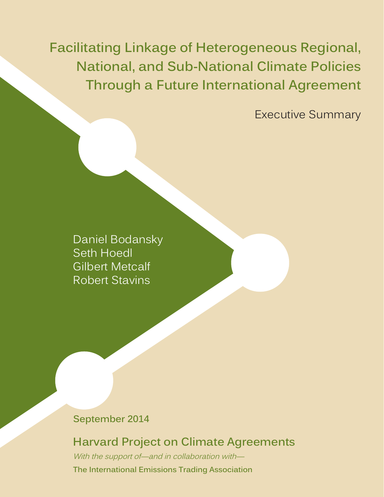**Facilitating Linkage of Heterogeneous Regional, National, and Sub-National Climate Policies Through a Future International Agreement**

Executive Summary

Daniel Bodansky Seth Hoedl Gilbert Metcalf Robert Stavins

#### **September 2014**

## **Harvard Project on Climate Agreements**

With the support of—and in collaboration with— **The International Emissions Trading Association**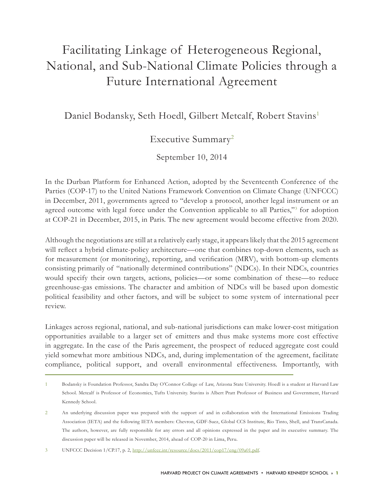# Facilitating Linkage of Heterogeneous Regional, National, and Sub-National Climate Policies through a Future International Agreement

Daniel Bodansky, Seth Hoedl, Gilbert Metcalf, Robert Stavins1

### Executive Summary<sup>2</sup>

September 10, 2014

In the Durban Platform for Enhanced Action, adopted by the Seventeenth Conference of the Parties (COP-17) to the United Nations Framework Convention on Climate Change (UNFCCC) in December, 2011, governments agreed to "develop a protocol, another legal instrument or an agreed outcome with legal force under the Convention applicable to all Parties,"<sup>3</sup> for adoption at COP-21 in December, 2015, in Paris. The new agreement would become effective from 2020.

Although the negotiations are still at a relatively early stage, it appears likely that the 2015 agreement will reflect a hybrid climate-policy architecture—one that combines top-down elements, such as for measurement (or monitoring), reporting, and verification (MRV), with bottom-up elements consisting primarily of "nationally determined contributions" (NDCs). In their NDCs, countries would specify their own targets, actions, policies—or some combination of these—to reduce greenhouse-gas emissions. The character and ambition of NDCs will be based upon domestic political feasibility and other factors, and will be subject to some system of international peer review.

Linkages across regional, national, and sub-national jurisdictions can make lower-cost mitigation opportunities available to a larger set of emitters and thus make systems more cost effective in aggregate. In the case of the Paris agreement, the prospect of reduced aggregate cost could yield somewhat more ambitious NDCs, and, during implementation of the agreement, facilitate compliance, political support, and overall environmental effectiveness. Importantly, with

<sup>1</sup> Bodansky is Foundation Professor, Sandra Day O'Connor College of Law, Arizona State University. Hoedl is a student at Harvard Law School. Metcalf is Professor of Economics, Tufts University. Stavins is Albert Pratt Professor of Business and Government, Harvard Kennedy School.

<sup>2</sup> An underlying discussion paper was prepared with the support of and in collaboration with the International Emissions Trading Association (IETA) and the following IETA members: Chevron, GDF-Suez, Global CCS Institute, Rio Tinto, Shell, and TransCanada. The authors, however, are fully responsible for any errors and all opinions expressed in the paper and its executive summary. The discussion paper will be released in November, 2014, ahead of COP-20 in Lima, Peru.

<sup>3</sup> UNFCCC Decision 1/CP.17, p. 2,<http://unfccc.int/resource/docs/2011/cop17/eng/09a01.pdf>.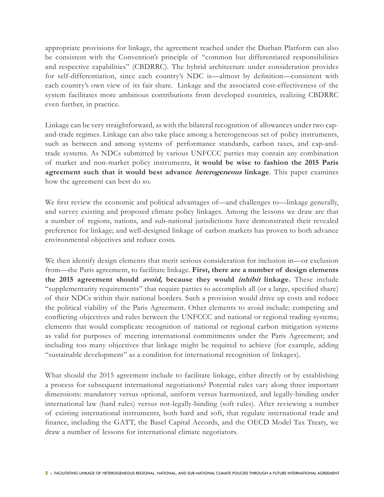appropriate provisions for linkage, the agreement reached under the Durban Platform can also be consistent with the Convention's principle of "common but differentiated responsibilities and respective capabilities" (CBDRRC). The hybrid architecture under consideration provides for self-differentiation, since each country's NDC is—almost by definition—consistent with each country's own view of its fair share. Linkage and the associated cost-effectiveness of the system facilitates more ambitious contributions from developed countries, realizing CBDRRC even further, in practice.

Linkage can be very straightforward, as with the bilateral recognition of allowances under two capand-trade regimes. Linkage can also take place among a heterogeneous set of policy instruments, such as between and among systems of performance standards, carbon taxes, and cap-andtrade systems. As NDCs submitted by various UNFCCC parties may contain any combination of market and non-market policy instruments, **it would be wise to fashion the 2015 Paris agreement such that it would best advance heterogeneous linkage**. This paper examines how the agreement can best do so.

We first review the economic and political advantages of—and challenges to—linkage generally, and survey existing and proposed climate policy linkages. Among the lessons we draw are that a number of regions, nations, and sub-national jurisdictions have demonstrated their revealed preference for linkage; and well-designed linkage of carbon markets has proven to both advance environmental objectives and reduce costs.

We then identify design elements that merit serious consideration for inclusion in—or exclusion from—the Paris agreement, to facilitate linkage. **First, there are a number of design elements the 2015 agreement should avoid, because they would inhibit linkage.** These include "supplementarity requirements" that require parties to accomplish all (or a large, specified share) of their NDCs within their national borders. Such a provision would drive up costs and reduce the political viability of the Paris Agreement. Other elements to avoid include: competing and conflicting objectives and rules between the UNFCCC and national or regional trading systems; elements that would complicate recognition of national or regional carbon mitigation systems as valid for purposes of meeting international commitments under the Paris Agreement; and including too many objectives that linkage might be required to achieve (for example, adding "sustainable development" as a condition for international recognition of linkages).

What should the 2015 agreement include to facilitate linkage, either directly or by establishing a process for subsequent international negotiations? Potential rules vary along three important dimensions: mandatory versus optional, uniform versus harmonized, and legally-binding under international law (hard rules) versus not-legally-binding (soft rules). After reviewing a number of existing international instruments, both hard and soft, that regulate international trade and finance, including the GATT, the Basel Capital Accords, and the OECD Model Tax Treaty, we draw a number of lessons for international climate negotiators.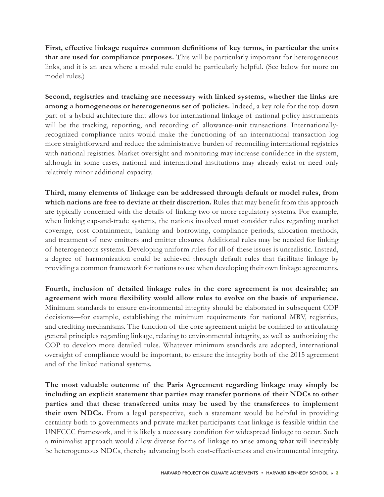**First, effective linkage requires common definitions of key terms, in particular the units that are used for compliance purposes.** This will be particularly important for heterogeneous links, and it is an area where a model rule could be particularly helpful. (See below for more on model rules.)

**Second, registries and tracking are necessary with linked systems, whether the links are among a homogeneous or heterogeneous set of policies.** Indeed, a key role for the top-down part of a hybrid architecture that allows for international linkage of national policy instruments will be the tracking, reporting, and recording of allowance-unit transactions. Internationallyrecognized compliance units would make the functioning of an international transaction log more straightforward and reduce the administrative burden of reconciling international registries with national registries. Market oversight and monitoring may increase confidence in the system, although in some cases, national and international institutions may already exist or need only relatively minor additional capacity.

**Third, many elements of linkage can be addressed through default or model rules, from which nations are free to deviate at their discretion.** Rules that may benefit from this approach are typically concerned with the details of linking two or more regulatory systems. For example, when linking cap-and-trade systems, the nations involved must consider rules regarding market coverage, cost containment, banking and borrowing, compliance periods, allocation methods, and treatment of new emitters and emitter closures. Additional rules may be needed for linking of heterogeneous systems. Developing uniform rules for all of these issues is unrealistic. Instead, a degree of harmonization could be achieved through default rules that facilitate linkage by providing a common framework for nations to use when developing their own linkage agreements.

**Fourth, inclusion of detailed linkage rules in the core agreement is not desirable; an agreement with more flexibility would allow rules to evolve on the basis of experience.** Minimum standards to ensure environmental integrity should be elaborated in subsequent COP decisions—for example, establishing the minimum requirements for national MRV, registries, and crediting mechanisms. The function of the core agreement might be confined to articulating general principles regarding linkage, relating to environmental integrity, as well as authorizing the COP to develop more detailed rules. Whatever minimum standards are adopted, international oversight of compliance would be important, to ensure the integrity both of the 2015 agreement and of the linked national systems.

**The most valuable outcome of the Paris Agreement regarding linkage may simply be including an explicit statement that parties may transfer portions of their NDCs to other parties and that these transferred units may be used by the transferees to implement their own NDCs.** From a legal perspective, such a statement would be helpful in providing certainty both to governments and private-market participants that linkage is feasible within the UNFCCC framework, and it is likely a necessary condition for widespread linkage to occur. Such a minimalist approach would allow diverse forms of linkage to arise among what will inevitably be heterogeneous NDCs, thereby advancing both cost-effectiveness and environmental integrity.